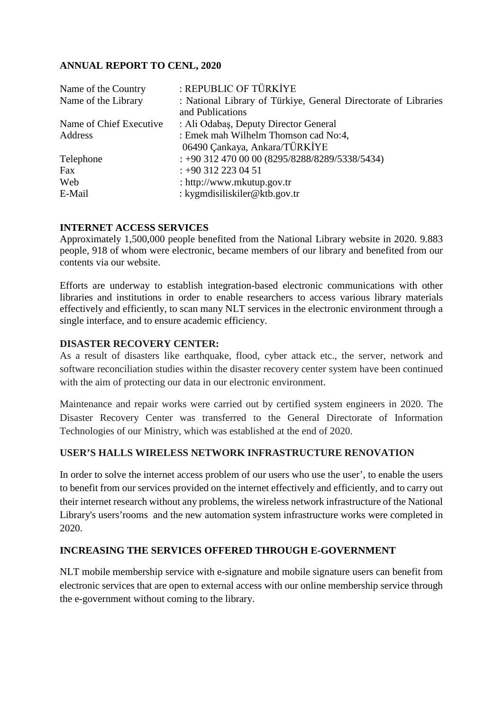### **ANNUAL REPORT TO CENL, 2020**

| : REPUBLIC OF TÜRKİYE                                           |
|-----------------------------------------------------------------|
| : National Library of Türkiye, General Directorate of Libraries |
| and Publications                                                |
| : Ali Odabaş, Deputy Director General                           |
| : Emek mah Wilhelm Thomson cad No:4,                            |
| 06490 Çankaya, Ankara/TÜRKİYE                                   |
| $\div$ +90 312 470 00 00 (8295/8288/8289/5338/5434)             |
| $: +903122230451$                                               |
| : http://www.mkutup.gov.tr                                      |
| : kygmdisiliskiler@ktb.gov.tr                                   |
|                                                                 |

### **INTERNET ACCESS SERVICES**

Approximately 1,500,000 people benefited from the National Library website in 2020. 9.883 people, 918 of whom were electronic, became members of our library and benefited from our contents via our website.

Efforts are underway to establish integration-based electronic communications with other libraries and institutions in order to enable researchers to access various library materials effectively and efficiently, to scan many NLT services in the electronic environment through a single interface, and to ensure academic efficiency.

#### **DISASTER RECOVERY CENTER:**

As a result of disasters like earthquake, flood, cyber attack etc., the server, network and software reconciliation studies within the disaster recovery center system have been continued with the aim of protecting our data in our electronic environment.

Maintenance and repair works were carried out by certified system engineers in 2020. The Disaster Recovery Center was transferred to the General Directorate of Information Technologies of our Ministry, which was established at the end of 2020.

### **USER'S HALLS WIRELESS NETWORK INFRASTRUCTURE RENOVATION**

In order to solve the internet access problem of our users who use the user', to enable the users to benefit from our services provided on the internet effectively and efficiently, and to carry out their internet research without any problems, the wireless network infrastructure of the National Library's users'rooms and the new automation system infrastructure works were completed in 2020.

### **INCREASING THE SERVICES OFFERED THROUGH E-GOVERNMENT**

NLT mobile membership service with e-signature and mobile signature users can benefit from electronic services that are open to external access with our online membership service through the e-government without coming to the library.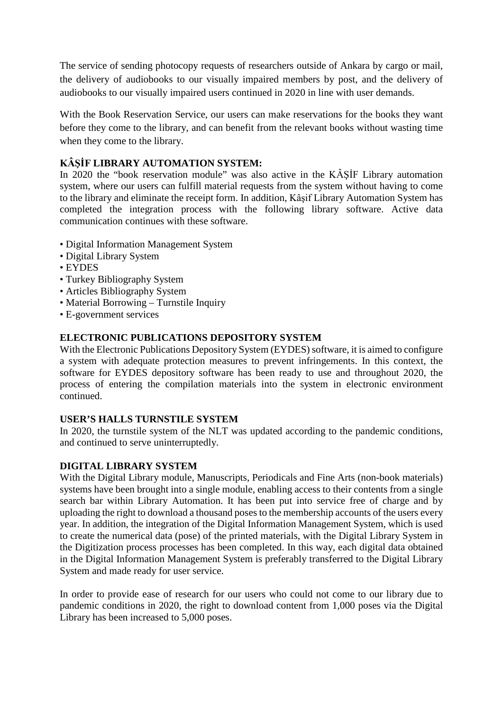The service of sending photocopy requests of researchers outside of Ankara by cargo or mail, the delivery of audiobooks to our visually impaired members by post, and the delivery of audiobooks to our visually impaired users continued in 2020 in line with user demands.

With the Book Reservation Service, our users can make reservations for the books they want before they come to the library, and can benefit from the relevant books without wasting time when they come to the library.

## **KÂŞİF LIBRARY AUTOMATION SYSTEM:**

In 2020 the "book reservation module" was also active in the KÂŞİF Library automation system, where our users can fulfill material requests from the system without having to come to the library and eliminate the receipt form. In addition, Kâşif Library Automation System has completed the integration process with the following library software. Active data communication continues with these software.

- Digital Information Management System
- Digital Library System
- EYDES
- Turkey Bibliography System
- Articles Bibliography System
- Material Borrowing Turnstile Inquiry
- E-government services

### **ELECTRONIC PUBLICATIONS DEPOSITORY SYSTEM**

With the Electronic Publications Depository System (EYDES) software, it is aimed to configure a system with adequate protection measures to prevent infringements. In this context, the software for EYDES depository software has been ready to use and throughout 2020, the process of entering the compilation materials into the system in electronic environment continued.

#### **USER'S HALLS TURNSTILE SYSTEM**

In 2020, the turnstile system of the NLT was updated according to the pandemic conditions, and continued to serve uninterruptedly.

### **DIGITAL LIBRARY SYSTEM**

With the Digital Library module, Manuscripts, Periodicals and Fine Arts (non-book materials) systems have been brought into a single module, enabling access to their contents from a single search bar within Library Automation. It has been put into service free of charge and by uploading the right to download a thousand poses to the membership accounts of the users every year. In addition, the integration of the Digital Information Management System, which is used to create the numerical data (pose) of the printed materials, with the Digital Library System in the Digitization process processes has been completed. In this way, each digital data obtained in the Digital Information Management System is preferably transferred to the Digital Library System and made ready for user service.

In order to provide ease of research for our users who could not come to our library due to pandemic conditions in 2020, the right to download content from 1,000 poses via the Digital Library has been increased to 5,000 poses.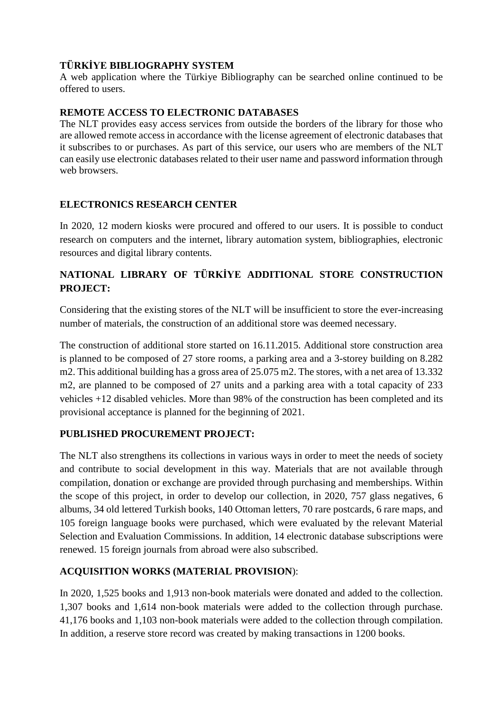## **TÜRKİYE BIBLIOGRAPHY SYSTEM**

A web application where the Türkiye Bibliography can be searched online continued to be offered to users.

### **REMOTE ACCESS TO ELECTRONIC DATABASES**

The NLT provides easy access services from outside the borders of the library for those who are allowed remote access in accordance with the license agreement of electronic databases that it subscribes to or purchases. As part of this service, our users who are members of the NLT can easily use electronic databases related to their user name and password information through web browsers.

## **ELECTRONICS RESEARCH CENTER**

In 2020, 12 modern kiosks were procured and offered to our users. It is possible to conduct research on computers and the internet, library automation system, bibliographies, electronic resources and digital library contents.

# **NATIONAL LIBRARY OF TÜRKİYE ADDITIONAL STORE CONSTRUCTION PROJECT:**

Considering that the existing stores of the NLT will be insufficient to store the ever-increasing number of materials, the construction of an additional store was deemed necessary.

The construction of additional store started on 16.11.2015. Additional store construction area is planned to be composed of 27 store rooms, a parking area and a 3-storey building on 8.282 m2. This additional building has a gross area of 25.075 m2. The stores, with a net area of 13.332 m2, are planned to be composed of 27 units and a parking area with a total capacity of 233 vehicles +12 disabled vehicles. More than 98% of the construction has been completed and its provisional acceptance is planned for the beginning of 2021.

## **PUBLISHED PROCUREMENT PROJECT:**

The NLT also strengthens its collections in various ways in order to meet the needs of society and contribute to social development in this way. Materials that are not available through compilation, donation or exchange are provided through purchasing and memberships. Within the scope of this project, in order to develop our collection, in 2020, 757 glass negatives, 6 albums, 34 old lettered Turkish books, 140 Ottoman letters, 70 rare postcards, 6 rare maps, and 105 foreign language books were purchased, which were evaluated by the relevant Material Selection and Evaluation Commissions. In addition, 14 electronic database subscriptions were renewed. 15 foreign journals from abroad were also subscribed.

## **ACQUISITION WORKS (MATERIAL PROVISION**):

In 2020, 1,525 books and 1,913 non-book materials were donated and added to the collection. 1,307 books and 1,614 non-book materials were added to the collection through purchase. 41,176 books and 1,103 non-book materials were added to the collection through compilation. In addition, a reserve store record was created by making transactions in 1200 books.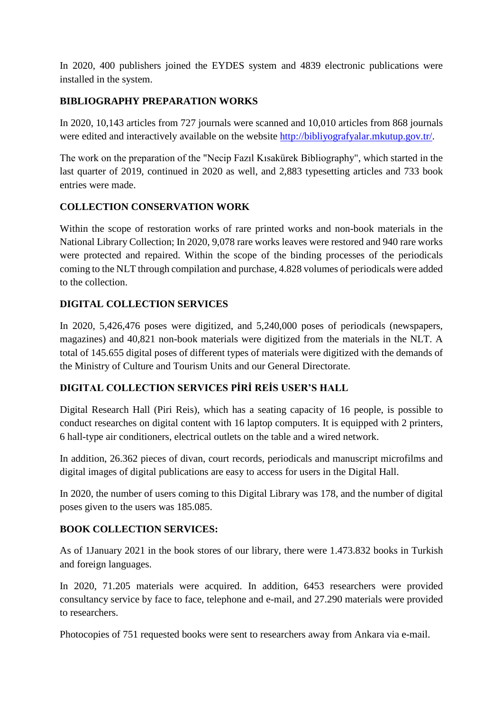In 2020, 400 publishers joined the EYDES system and 4839 electronic publications were installed in the system.

## **BIBLIOGRAPHY PREPARATION WORKS**

In 2020, 10,143 articles from 727 journals were scanned and 10,010 articles from 868 journals were edited and interactively available on the website [http://bibliyografyalar.mkutup.gov.tr/.](http://bibliyografyalar.mkutup.gov.tr/)

The work on the preparation of the "Necip Fazıl Kısakürek Bibliography", which started in the last quarter of 2019, continued in 2020 as well, and 2,883 typesetting articles and 733 book entries were made.

## **COLLECTION CONSERVATION WORK**

Within the scope of restoration works of rare printed works and non-book materials in the National Library Collection; In 2020, 9,078 rare works leaves were restored and 940 rare works were protected and repaired. Within the scope of the binding processes of the periodicals coming to the NLT through compilation and purchase, 4.828 volumes of periodicals were added to the collection.

# **DIGITAL COLLECTION SERVICES**

In 2020, 5,426,476 poses were digitized, and 5,240,000 poses of periodicals (newspapers, magazines) and 40,821 non-book materials were digitized from the materials in the NLT. A total of 145.655 digital poses of different types of materials were digitized with the demands of the Ministry of Culture and Tourism Units and our General Directorate.

## **DIGITAL COLLECTION SERVICES PİRİ REİS USER'S HALL**

Digital Research Hall (Piri Reis), which has a seating capacity of 16 people, is possible to conduct researches on digital content with 16 laptop computers. It is equipped with 2 printers, 6 hall-type air conditioners, electrical outlets on the table and a wired network.

In addition, 26.362 pieces of divan, court records, periodicals and manuscript microfilms and digital images of digital publications are easy to access for users in the Digital Hall.

In 2020, the number of users coming to this Digital Library was 178, and the number of digital poses given to the users was 185.085.

## **BOOK COLLECTION SERVICES:**

As of 1January 2021 in the book stores of our library, there were 1.473.832 books in Turkish and foreign languages.

In 2020, 71.205 materials were acquired. In addition, 6453 researchers were provided consultancy service by face to face, telephone and e-mail, and 27.290 materials were provided to researchers.

Photocopies of 751 requested books were sent to researchers away from Ankara via e-mail.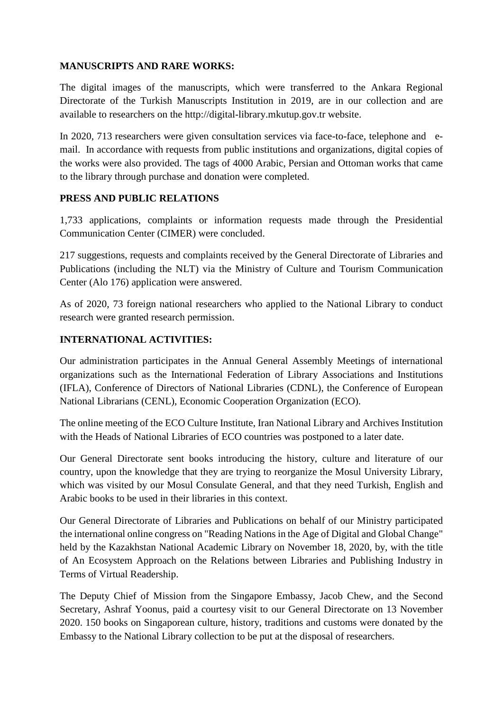### **MANUSCRIPTS AND RARE WORKS:**

The digital images of the manuscripts, which were transferred to the Ankara Regional Directorate of the Turkish Manuscripts Institution in 2019, are in our collection and are available to researchers on the http://digital-library.mkutup.gov.tr website.

In 2020, 713 researchers were given consultation services via face-to-face, telephone and email. In accordance with requests from public institutions and organizations, digital copies of the works were also provided. The tags of 4000 Arabic, Persian and Ottoman works that came to the library through purchase and donation were completed.

### **PRESS AND PUBLIC RELATIONS**

1,733 applications, complaints or information requests made through the Presidential Communication Center (CIMER) were concluded.

217 suggestions, requests and complaints received by the General Directorate of Libraries and Publications (including the NLT) via the Ministry of Culture and Tourism Communication Center (Alo 176) application were answered.

As of 2020, 73 foreign national researchers who applied to the National Library to conduct research were granted research permission.

## **INTERNATIONAL ACTIVITIES:**

Our administration participates in the Annual General Assembly Meetings of international organizations such as the International Federation of Library Associations and Institutions (IFLA), Conference of Directors of National Libraries (CDNL), the Conference of European National Librarians (CENL), Economic Cooperation Organization (ECO).

The online meeting of the ECO Culture Institute, Iran National Library and Archives Institution with the Heads of National Libraries of ECO countries was postponed to a later date.

Our General Directorate sent books introducing the history, culture and literature of our country, upon the knowledge that they are trying to reorganize the Mosul University Library, which was visited by our Mosul Consulate General, and that they need Turkish, English and Arabic books to be used in their libraries in this context.

Our General Directorate of Libraries and Publications on behalf of our Ministry participated the international online congress on "Reading Nations in the Age of Digital and Global Change" held by the Kazakhstan National Academic Library on November 18, 2020, by, with the title of An Ecosystem Approach on the Relations between Libraries and Publishing Industry in Terms of Virtual Readership.

The Deputy Chief of Mission from the Singapore Embassy, Jacob Chew, and the Second Secretary, Ashraf Yoonus, paid a courtesy visit to our General Directorate on 13 November 2020. 150 books on Singaporean culture, history, traditions and customs were donated by the Embassy to the National Library collection to be put at the disposal of researchers.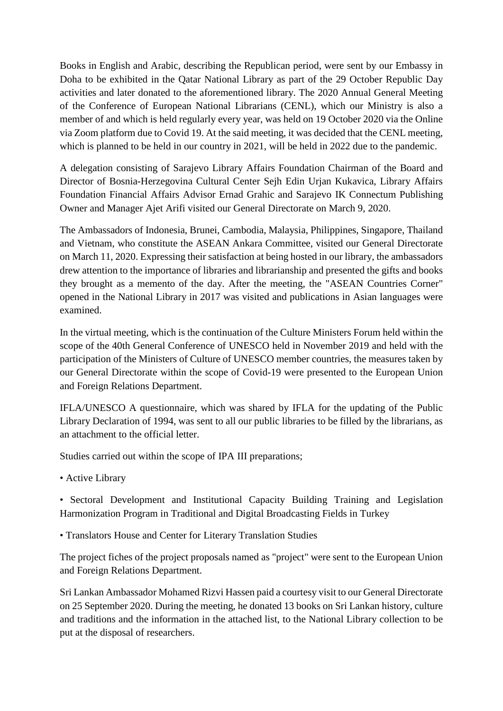Books in English and Arabic, describing the Republican period, were sent by our Embassy in Doha to be exhibited in the Qatar National Library as part of the 29 October Republic Day activities and later donated to the aforementioned library. The 2020 Annual General Meeting of the Conference of European National Librarians (CENL), which our Ministry is also a member of and which is held regularly every year, was held on 19 October 2020 via the Online via Zoom platform due to Covid 19. At the said meeting, it was decided that the CENL meeting, which is planned to be held in our country in 2021, will be held in 2022 due to the pandemic.

A delegation consisting of Sarajevo Library Affairs Foundation Chairman of the Board and Director of Bosnia-Herzegovina Cultural Center Sejh Edin Urjan Kukavica, Library Affairs Foundation Financial Affairs Advisor Ernad Grahic and Sarajevo IK Connectum Publishing Owner and Manager Ajet Arifi visited our General Directorate on March 9, 2020.

The Ambassadors of Indonesia, Brunei, Cambodia, Malaysia, Philippines, Singapore, Thailand and Vietnam, who constitute the ASEAN Ankara Committee, visited our General Directorate on March 11, 2020. Expressing their satisfaction at being hosted in our library, the ambassadors drew attention to the importance of libraries and librarianship and presented the gifts and books they brought as a memento of the day. After the meeting, the "ASEAN Countries Corner" opened in the National Library in 2017 was visited and publications in Asian languages were examined.

In the virtual meeting, which is the continuation of the Culture Ministers Forum held within the scope of the 40th General Conference of UNESCO held in November 2019 and held with the participation of the Ministers of Culture of UNESCO member countries, the measures taken by our General Directorate within the scope of Covid-19 were presented to the European Union and Foreign Relations Department.

IFLA/UNESCO A questionnaire, which was shared by IFLA for the updating of the Public Library Declaration of 1994, was sent to all our public libraries to be filled by the librarians, as an attachment to the official letter.

Studies carried out within the scope of IPA III preparations;

• Active Library

• Sectoral Development and Institutional Capacity Building Training and Legislation Harmonization Program in Traditional and Digital Broadcasting Fields in Turkey

• Translators House and Center for Literary Translation Studies

The project fiches of the project proposals named as "project" were sent to the European Union and Foreign Relations Department.

Sri Lankan Ambassador Mohamed Rizvi Hassen paid a courtesy visit to our General Directorate on 25 September 2020. During the meeting, he donated 13 books on Sri Lankan history, culture and traditions and the information in the attached list, to the National Library collection to be put at the disposal of researchers.